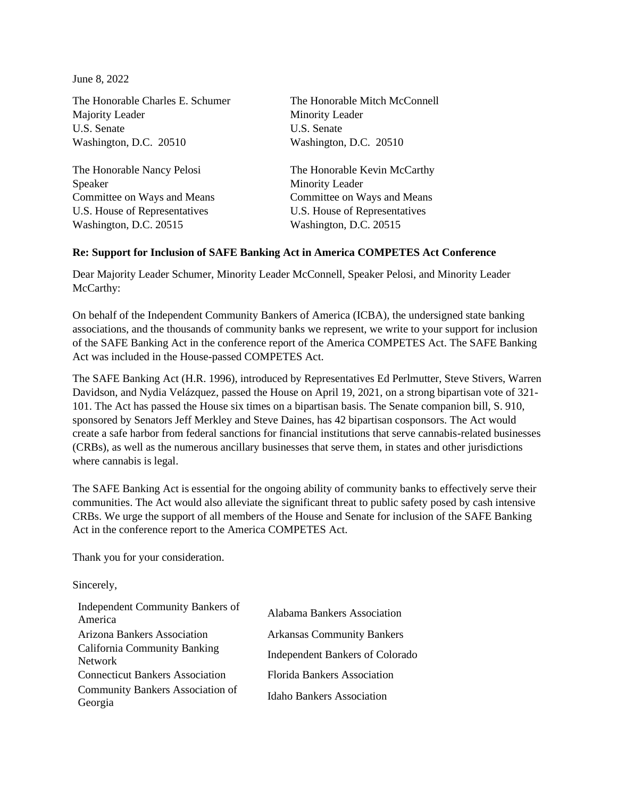June 8, 2022

The Honorable Charles E. Schumer The Honorable Mitch McConnell Majority Leader Minority Leader U.S. Senate U.S. Senate Washington, D.C. 20510 Washington, D.C. 20510

Speaker Minority Leader U.S. House of Representatives U.S. House of Representatives Washington, D.C. 20515 Washington, D.C. 20515

The Honorable Nancy Pelosi The Honorable Kevin McCarthy Committee on Ways and Means Committee on Ways and Means

## **Re: Support for Inclusion of SAFE Banking Act in America COMPETES Act Conference**

Dear Majority Leader Schumer, Minority Leader McConnell, Speaker Pelosi, and Minority Leader McCarthy:

On behalf of the Independent Community Bankers of America (ICBA), the undersigned state banking associations, and the thousands of community banks we represent, we write to your support for inclusion of the SAFE Banking Act in the conference report of the America COMPETES Act. The SAFE Banking Act was included in the House-passed COMPETES Act.

The SAFE Banking Act (H.R. 1996), introduced by Representatives Ed Perlmutter, Steve Stivers, Warren Davidson, and Nydia Velázquez, passed the House on April 19, 2021, on a strong bipartisan vote of 321- 101. The Act has passed the House six times on a bipartisan basis. The Senate companion bill, S. 910, sponsored by Senators Jeff Merkley and Steve Daines, has 42 bipartisan cosponsors. The Act would create a safe harbor from federal sanctions for financial institutions that serve cannabis-related businesses (CRBs), as well as the numerous ancillary businesses that serve them, in states and other jurisdictions where cannabis is legal.

The SAFE Banking Act is essential for the ongoing ability of community banks to effectively serve their communities. The Act would also alleviate the significant threat to public safety posed by cash intensive CRBs. We urge the support of all members of the House and Senate for inclusion of the SAFE Banking Act in the conference report to the America COMPETES Act.

Thank you for your consideration.

Sincerely,

| Independent Community Bankers of<br>America           | Alabama Bankers Association            |
|-------------------------------------------------------|----------------------------------------|
| Arizona Bankers Association                           | <b>Arkansas Community Bankers</b>      |
| <b>California Community Banking</b><br><b>Network</b> | <b>Independent Bankers of Colorado</b> |
| <b>Connecticut Bankers Association</b>                | <b>Florida Bankers Association</b>     |
| <b>Community Bankers Association of</b><br>Georgia    | <b>Idaho Bankers Association</b>       |